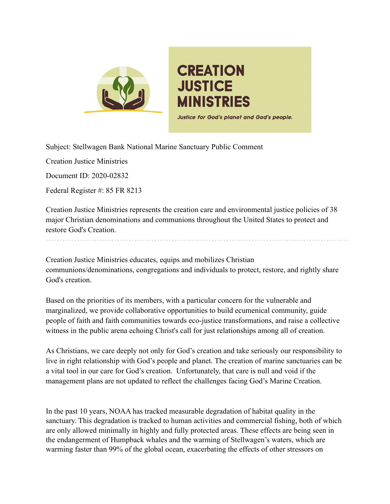

## **CREATION JUSTICE MINISTRIES** Justice for God's planet and God's people.

Subject: Stellwagen Bank National Marine Sanctuary Public Comment

Creation Justice Ministries

Document ID: 2020-02832

Federal Register #: 85 FR 8213

Creation Justice Ministries represents the creation care and environmental justice policies of 38 major Christian denominations and communions throughout the United States to protect and restore God's Creation.

Creation Justice Ministries educates, equips and mobilizes Christian communions/denominations, congregations and individuals to protect, restore, and rightly share God's creation.

Based on the priorities of its members, with a particular concern for the vulnerable and marginalized, we provide collaborative opportunities to build ecumenical community, guide people of faith and faith communities towards eco-justice transformations, and raise a collective witness in the public arena echoing Christ's call for just relationships among all of creation.

As Christians, we care deeply not only for God's creation and take seriously our responsibility to live in right relationship with God's people and planet. The creation of marine sanctuaries can be a vital tool in our care for God's creation. Unfortunately, that care is null and void if the management plans are not updated to reflect the challenges facing God's Marine Creation.

In the past 10 years, NOAA has tracked measurable degradation of habitat quality in the sanctuary. This degradation is tracked to human activities and commercial fishing, both of which are only allowed minimally in highly and fully protected areas. These effects are being seen in the endangerment of Humpback whales and the warming of Stellwagen's waters, which are warming faster than 99% of the global ocean, exacerbating the effects of other stressors on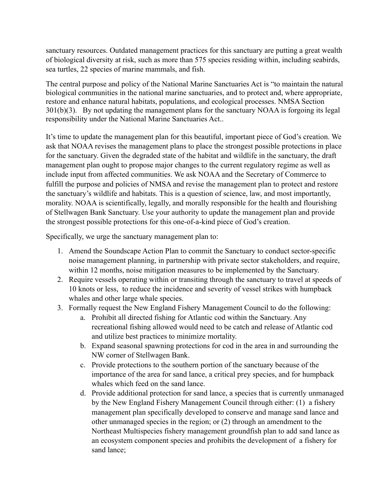sanctuary resources. Outdated management practices for this sanctuary are putting a great wealth of biological diversity at risk, such as more than 575 species residing within, including seabirds, sea turtles, 22 species of marine mammals, and fish.

The central purpose and policy of the National Marine Sanctuaries Act is "to maintain the natural biological communities in the national marine sanctuaries, and to protect and, where appropriate, restore and enhance natural habitats, populations, and ecological processes. NMSA Section 301(b)(3). By not updating the management plans for the sanctuary NOAA is forgoing its legal responsibility under the National Marine Sanctuaries Act..

It's time to update the management plan for this beautiful, important piece of God's creation. We ask that NOAA revises the management plans to place the strongest possible protections in place for the sanctuary. Given the degraded state of the habitat and wildlife in the sanctuary, the draft management plan ought to propose major changes to the current regulatory regime as well as include input from affected communities. We ask NOAA and the Secretary of Commerce to fulfill the purpose and policies of NMSA and revise the management plan to protect and restore the sanctuary's wildlife and habitats. This is a question of science, law, and most importantly, morality. NOAA is scientifically, legally, and morally responsible for the health and flourishing of Stellwagen Bank Sanctuary. Use your authority to update the management plan and provide the strongest possible protections for this one-of-a-kind piece of God's creation.

Specifically, we urge the sanctuary management plan to:

- 1. Amend the Soundscape Action Plan to commit the Sanctuary to conduct sector-specific noise management planning, in partnership with private sector stakeholders, and require, within 12 months, noise mitigation measures to be implemented by the Sanctuary.
- 2. Require vessels operating within or transiting through the sanctuary to travel at speeds of 10 knots or less, to reduce the incidence and severity of vessel strikes with humpback whales and other large whale species.
- 3. Formally request the New England Fishery Management Council to do the following:
	- a. Prohibit all directed fishing for Atlantic cod within the Sanctuary. Any recreational fishing allowed would need to be catch and release of Atlantic cod and utilize best practices to minimize mortality.
	- b. Expand seasonal spawning protections for cod in the area in and surrounding the NW corner of Stellwagen Bank.
	- c. Provide protections to the southern portion of the sanctuary because of the importance of the area for sand lance, a critical prey species, and for humpback whales which feed on the sand lance.
	- d. Provide additional protection for sand lance, a species that is currently unmanaged by the New England Fishery Management Council through either: (1) a fishery management plan specifically developed to conserve and manage sand lance and other unmanaged species in the region; or (2) through an amendment to the Northeast Multispecies fishery management groundfish plan to add sand lance as an ecosystem component species and prohibits the development of a fishery for sand lance;